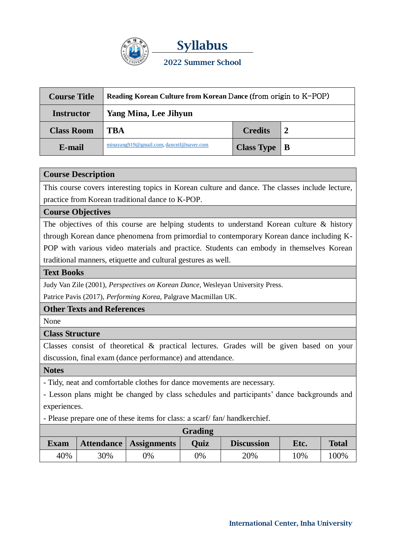

| <b>Course Title</b> | Reading Korean Culture from Korean Dance (from origin to K-POP) |                      |  |  |  |
|---------------------|-----------------------------------------------------------------|----------------------|--|--|--|
| <b>Instructor</b>   | <b>Yang Mina, Lee Jihyun</b>                                    |                      |  |  |  |
| <b>Class Room</b>   | <b>TBA</b>                                                      | <b>Credits</b>       |  |  |  |
| E-mail              | minayang919@gmail.com, danceif@naver.com                        | Class Type $\vert$ B |  |  |  |

# **Course Description**

This course covers interesting topics in Korean culture and dance. The classes include lecture, practice from Korean traditional dance to K-POP.

### **Course Objectives**

The objectives of this course are helping students to understand Korean culture & history through Korean dance phenomena from primordial to contemporary Korean dance including K-POP with various video materials and practice. Students can embody in themselves Korean traditional manners, etiquette and cultural gestures as well.

#### **Text Books**

Judy Van Zile (2001), *Perspectives on Korean Dance,* Wesleyan University Press.

Patrice Pavis (2017), *Performing Korea,* Palgrave Macmillan UK.

# **Other Texts and References**

None

### **Class Structure**

Classes consist of theoretical & practical lectures. Grades will be given based on your discussion, final exam (dance performance) and attendance.

**Notes**

- Tidy, neat and comfortable clothes for dance movements are necessary.

- Lesson plans might be changed by class schedules and participants' dance backgrounds and experiences.

- Please prepare one of these items for class: a scarf/ fan/ handkerchief.

| Grading     |     |                          |      |                   |      |              |  |  |
|-------------|-----|--------------------------|------|-------------------|------|--------------|--|--|
| <b>Exam</b> |     | Attendance   Assignments | Ouiz | <b>Discussion</b> | Etc. | <b>Total</b> |  |  |
| 40%         | 30% | 9%                       | 9%   | 20%               | 10%  | 100%         |  |  |